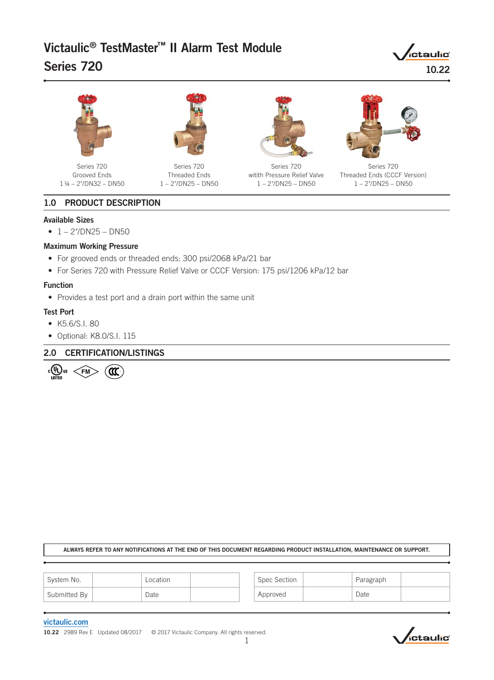# Victaulic® TestMaster™ II Alarm Test Module Series 720

*ictaulic* 10.22



Series 720 Grooved Ends 1 ¼ – 2"/DN32 – DN50



Series 720 Threaded Ends 1 – 2"/DN25 – DN50



Series 720 witith Pressure Relief Valve 1 – 2"/DN25 – DN50



Series 720 Threaded Ends (CCCF Version) 1 – 2"/DN25 – DN50

# 1.0 PRODUCT DESCRIPTION

#### Available Sizes

 $\bullet$  1 – 2"/DN25 – DN50

### Maximum Working Pressure

- For grooved ends or threaded ends: 300 psi/2068 kPa/21 bar
- For Series 720 with Pressure Relief Valve or CCCF Version: 175 psi/1206 kPa/12 bar

### Function

• Provides a test port and a drain port within the same unit

#### Test Port

- K5.6/S.I. 80
- Optional: K8.0/S.I. 115

# 2.0 CERTIFICATION/LISTINGS



ALWAYS REFER TO ANY NOTIFICATIONS AT THE END OF THIS DOCUMENT REGARDING PRODUCT INSTALLATION, MAINTENANCE OR SUPPORT.

| System No.   | Location | Spec Section | Paragraph |  |
|--------------|----------|--------------|-----------|--|
| Submitted By | Date     | Approved     | Date      |  |

#### [victaulic.com](http://www.victaulic.com)

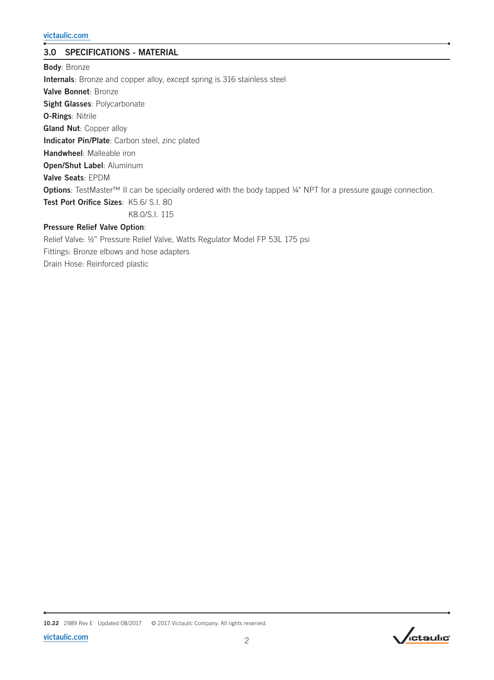# 3.0 SPECIFICATIONS - MATERIAL

Body: Bronze Internals: Bronze and copper alloy, except spring is 316 stainless steel Valve Bonnet: Bronze Sight Glasses: Polycarbonate O-Rings: Nitrile **Gland Nut: Copper alloy** Indicator Pin/Plate: Carbon steel, zinc plated Handwheel: Malleable iron Open/Shut Label: Aluminum Valve Seats: EPDM Options: TestMaster™ II can be specially ordered with the body tapped ¼" NPT for a pressure gauge connection. Test Port Orifice Sizes: K5.6/ S.I. 80 K8.0/S.I. 115 Pressure Relief Valve Option:

Relief Valve: ½" Pressure Relief Valve, Watts Regulator Model FP 53L 175 psi Fittings: Bronze elbows and hose adapters Drain Hose: Reinforced plastic

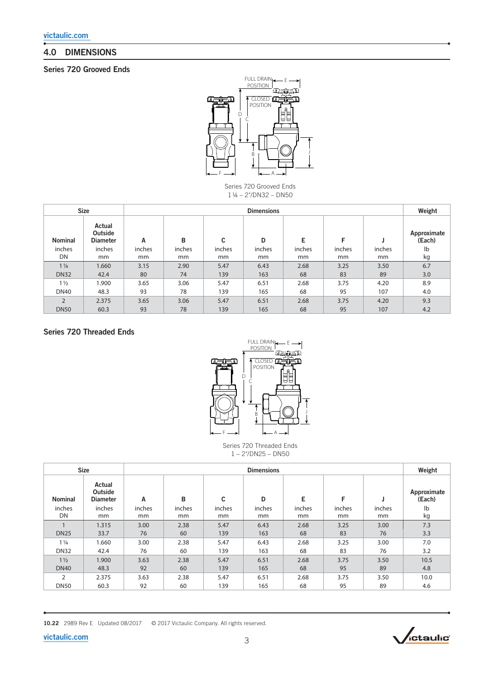# 4.0 DIMENSIONS

# Series 720 Grooved Ends



Series 720 Grooved Ends 1 ¼ – 2"/DN32 – DN50

|                | <b>Size</b>                          |        | <b>Dimensions</b> |        |        |        |        |        |                       |  |
|----------------|--------------------------------------|--------|-------------------|--------|--------|--------|--------|--------|-----------------------|--|
| <b>Nominal</b> | Actual<br>Outside<br><b>Diameter</b> | A      | в                 | C      | D      | Е      | F      |        | Approximate<br>(Each) |  |
| inches         | inches                               | inches | inches            | inches | inches | inches | inches | inches | lb                    |  |
| DN             | mm                                   | mm     | mm                | mm     | mm     | mm     | mm     | mm     | kg                    |  |
| $1\frac{1}{4}$ | 1.660                                | 3.15   | 2.90              | 5.47   | 6.43   | 2.68   | 3.25   | 3.50   | 6.7                   |  |
| <b>DN32</b>    | 42.4                                 | 80     | 74                | 139    | 163    | 68     | 83     | 89     | 3.0                   |  |
| $1\frac{1}{2}$ | 1.900                                | 3.65   | 3.06              | 5.47   | 6.51   | 2.68   | 3.75   | 4.20   | 8.9                   |  |
| <b>DN40</b>    | 48.3                                 | 93     | 78                | 139    | 165    | 68     | 95     | 107    | 4.0                   |  |
| $\overline{2}$ | 2.375                                | 3.65   | 3.06              | 5.47   | 6.51   | 2.68   | 3.75   | 4.20   | 9.3                   |  |
| <b>DN50</b>    | 60.3                                 | 93     | 78                | 139    | 165    | 68     | 95     | 107    | 4.2                   |  |

# Series 720 Threaded Ends



Series 720 Threaded Ends 1 – 2"/DN25 – DN50

|                | <b>Size</b>                          | <b>Dimensions</b> |              |              |        |                         |              |              |                       |  |
|----------------|--------------------------------------|-------------------|--------------|--------------|--------|-------------------------|--------------|--------------|-----------------------|--|
| <b>Nominal</b> | Actual<br>Outside<br><b>Diameter</b> | Α                 | B            | C            | D      | E                       | F            |              | Approximate<br>(Each) |  |
| inches<br>DN   | inches<br>mm                         | inches            | inches<br>mm | inches<br>mm | inches | inches<br><sub>mm</sub> | inches<br>mm | inches<br>mm | $\mathsf{lb}$         |  |
|                |                                      | mm                |              |              | mm     |                         |              |              | kg                    |  |
|                | 1.315                                | 3.00              | 2.38         | 5.47         | 6.43   | 2.68                    | 3.25         | 3.00         | 7.3                   |  |
| <b>DN25</b>    | 33.7                                 | 76                | 60           | 139          | 163    | 68                      | 83           | 76           | 3.3                   |  |
| $1\frac{1}{4}$ | 1.660                                | 3.00              | 2.38         | 5.47         | 6.43   | 2.68                    | 3.25         | 3.00         | 7.0                   |  |
| <b>DN32</b>    | 42.4                                 | 76                | 60           | 139          | 163    | 68                      | 83           | 76           | 3.2                   |  |
| $1\frac{1}{2}$ | 1.900                                | 3.63              | 2.38         | 5.47         | 6.51   | 2.68                    | 3.75         | 3.50         | 10.5                  |  |
| <b>DN40</b>    | 48.3                                 | 92                | 60           | 139          | 165    | 68                      | 95           | 89           | 4.8                   |  |
| 2              | 2.375                                | 3.63              | 2.38         | 5.47         | 6.51   | 2.68                    | 3.75         | 3.50         | 10.0                  |  |
| <b>DN50</b>    | 60.3                                 | 92                | 60           | 139          | 165    | 68                      | 95           | 89           | 4.6                   |  |



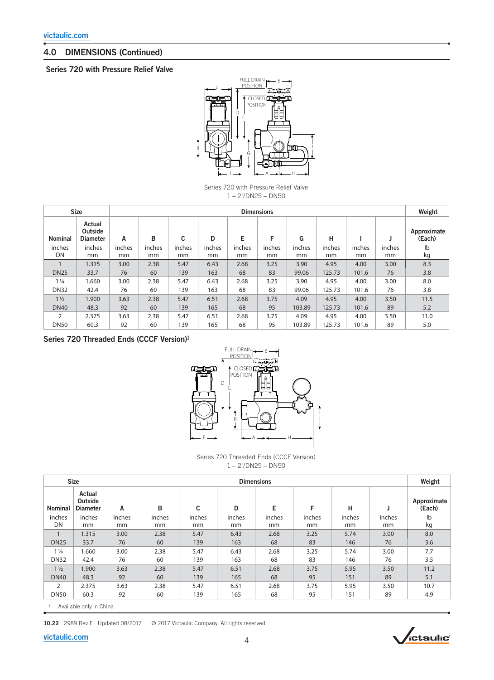# 4.0 DIMENSIONS (Continued)

## Series 720 with Pressure Relief Valve



Series 720 with Pressure Relief Valve 1 – 2"/DN25 – DN50

|                | <b>Size</b>                          | <b>Dimensions</b> |              |              |              |              |              |              |              |              |              | Weight                |
|----------------|--------------------------------------|-------------------|--------------|--------------|--------------|--------------|--------------|--------------|--------------|--------------|--------------|-----------------------|
| <b>Nominal</b> | Actual<br>Outside<br><b>Diameter</b> | A                 | B            | C            | D            | E            | F            | G            | н            |              |              | Approximate<br>(Each) |
| inches<br>DN   | inches<br>mm                         | inches<br>mm      | inches<br>mm | inches<br>mm | inches<br>mm | inches<br>mm | inches<br>mm | inches<br>mm | inches<br>mm | inches<br>mm | inches<br>mm | lb<br>kg              |
|                | 1.315                                | 3.00              | 2.38         | 5.47         | 6.43         | 2.68         | 3.25         | 3.90         | 4.95         | 4.00         | 3.00         | 8.3                   |
| <b>DN25</b>    | 33.7                                 | 76                | 60           | 139          | 163          | 68           | 83           | 99.06        | 125.73       | 101.6        | 76           | 3.8                   |
| $1\frac{1}{4}$ | 1.660                                | 3.00              | 2.38         | 5.47         | 6.43         | 2.68         | 3.25         | 3.90         | 4.95         | 4.00         | 3.00         | 8.0                   |
| <b>DN32</b>    | 42.4                                 | 76                | 60           | 139          | 163          | 68           | 83           | 99.06        | 125.73       | 101.6        | 76           | 3.8                   |
| $1\frac{1}{2}$ | 1.900                                | 3.63              | 2.38         | 5.47         | 6.51         | 2.68         | 3.75         | 4.09         | 4.95         | 4.00         | 3.50         | 11.5                  |
| <b>DN40</b>    | 48.3                                 | 92                | 60           | 139          | 165          | 68           | 95           | 103.89       | 125.73       | 101.6        | 89           | 5.2                   |
| $\overline{2}$ | 2.375                                | 3.63              | 2.38         | 5.47         | 6.51         | 2.68         | 3.75         | 4.09         | 4.95         | 4.00         | 3.50         | 11.0                  |
| <b>DN50</b>    | 60.3                                 | 92                | 60           | 139          | 165          | 68           | 95           | 103.89       | 125.73       | 101.6        | 89           | 5.0                   |

Series 720 Threaded Ends (CCCF Version)1



Series 720 Threaded Ends (CCCF Version)  $1 - 2$ "/DN25 – DN50

|                | <b>Size</b>                          |              |              |              |              | <b>Dimensions</b> |              |              |              | Weight                |
|----------------|--------------------------------------|--------------|--------------|--------------|--------------|-------------------|--------------|--------------|--------------|-----------------------|
| <b>Nominal</b> | Actual<br>Outside<br><b>Diameter</b> | A            | B            | C            | D            | E                 | F            | н            |              | Approximate<br>(Each) |
| inches<br>DN   | inches<br><sub>mm</sub>              | inches<br>mm | inches<br>mm | inches<br>mm | inches<br>mm | inches<br>mm      | inches<br>mm | inches<br>mm | inches<br>mm | lb<br>kg              |
| $\mathbf{1}$   | 1.315                                | 3.00         | 2.38         | 5.47         | 6.43         | 2.68              | 3.25         | 5.74         | 3.00         | 8.0                   |
| <b>DN25</b>    | 33.7                                 | 76           | 60           | 139          | 163          | 68                | 83           | 146          | 76           | 3.6                   |
| $1\frac{1}{4}$ | 1.660                                | 3.00         | 2.38         | 5.47         | 6.43         | 2.68              | 3.25         | 5.74         | 3.00         | 7.7                   |
| <b>DN32</b>    | 42.4                                 | 76           | 60           | 139          | 163          | 68                | 83           | 146          | 76           | 3.5                   |
| $1\frac{1}{2}$ | 1.900                                | 3.63         | 2.38         | 5.47         | 6.51         | 2.68              | 3.75         | 5.95         | 3.50         | 11.2                  |
| <b>DN40</b>    | 48.3                                 | 92           | 60           | 139          | 165          | 68                | 95           | 151          | 89           | 5.1                   |
| 2              | 2.375                                | 3.63         | 2.38         | 5.47         | 6.51         | 2.68              | 3.75         | 5.95         | 3.50         | 10.7                  |
| <b>DN50</b>    | 60.3                                 | 92           | 60           | 139          | 165          | 68                | 95           | 151          | 89           | 4.9                   |

1 Available only in China